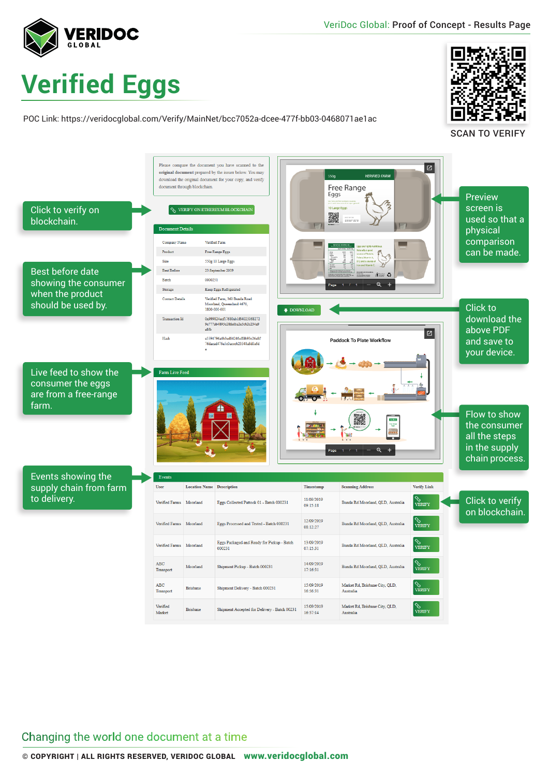

## **Verified Eggs**

POC Link: https://veridocglobal.com/Verify/MainNet/bcc7052a-dcee-477f-bb03-0468071ae1ac



SCAN TO VERIFY



Changing the world one document at a time